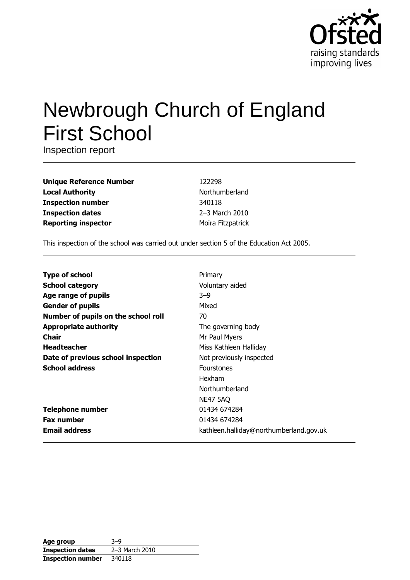

# Newbrough Church of England **First School**

Inspection report

| <b>Unique Reference Number</b> |
|--------------------------------|
| <b>Local Authority</b>         |
| <b>Inspection number</b>       |
| <b>Inspection dates</b>        |
| <b>Reporting inspector</b>     |

122298 Northumberland 340118 2-3 March 2010 Moira Fitzpatrick

This inspection of the school was carried out under section 5 of the Education Act 2005.

| <b>Type of school</b>               | Primary                                 |
|-------------------------------------|-----------------------------------------|
| <b>School category</b>              | Voluntary aided                         |
| Age range of pupils                 | $3 - 9$                                 |
| <b>Gender of pupils</b>             | Mixed                                   |
| Number of pupils on the school roll | 70                                      |
| <b>Appropriate authority</b>        | The governing body                      |
| Chair                               | Mr Paul Myers                           |
| <b>Headteacher</b>                  | Miss Kathleen Halliday                  |
| Date of previous school inspection  | Not previously inspected                |
| <b>School address</b>               | <b>Fourstones</b>                       |
|                                     | Hexham                                  |
|                                     | Northumberland                          |
|                                     | <b>NE47 5AQ</b>                         |
| <b>Telephone number</b>             | 01434 674284                            |
| <b>Fax number</b>                   | 01434 674284                            |
| <b>Email address</b>                | kathleen.halliday@northumberland.gov.uk |

| Age group                | $3-9$          |
|--------------------------|----------------|
| <b>Inspection dates</b>  | 2-3 March 2010 |
| <b>Inspection number</b> | 340118         |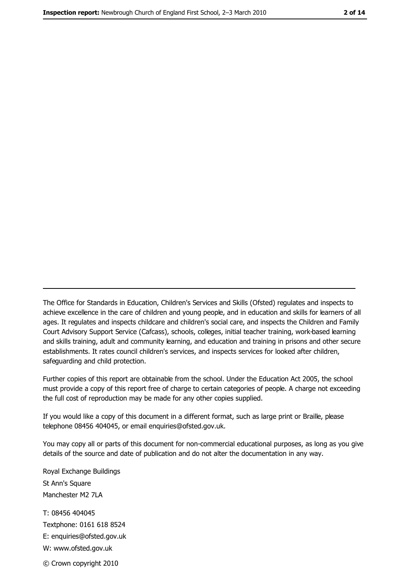The Office for Standards in Education, Children's Services and Skills (Ofsted) regulates and inspects to achieve excellence in the care of children and young people, and in education and skills for learners of all ages. It regulates and inspects childcare and children's social care, and inspects the Children and Family Court Advisory Support Service (Cafcass), schools, colleges, initial teacher training, work-based learning and skills training, adult and community learning, and education and training in prisons and other secure establishments. It rates council children's services, and inspects services for looked after children, safequarding and child protection.

Further copies of this report are obtainable from the school. Under the Education Act 2005, the school must provide a copy of this report free of charge to certain categories of people. A charge not exceeding the full cost of reproduction may be made for any other copies supplied.

If you would like a copy of this document in a different format, such as large print or Braille, please telephone 08456 404045, or email enquiries@ofsted.gov.uk.

You may copy all or parts of this document for non-commercial educational purposes, as long as you give details of the source and date of publication and do not alter the documentation in any way.

Royal Exchange Buildings St Ann's Square Manchester M2 7LA T: 08456 404045 Textphone: 0161 618 8524 E: enquiries@ofsted.gov.uk W: www.ofsted.gov.uk © Crown copyright 2010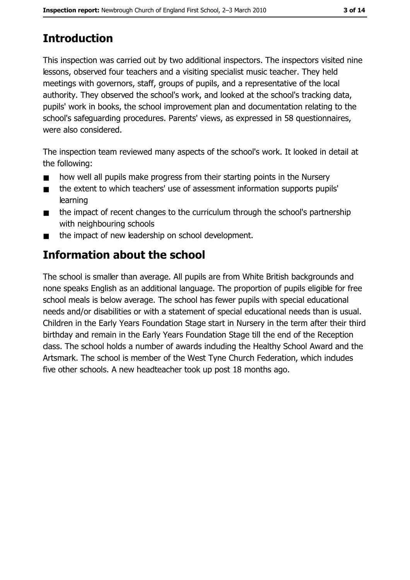# **Introduction**

This inspection was carried out by two additional inspectors. The inspectors visited nine lessons, observed four teachers and a visiting specialist music teacher. They held meetings with governors, staff, groups of pupils, and a representative of the local authority. They observed the school's work, and looked at the school's tracking data, pupils' work in books, the school improvement plan and documentation relating to the school's safeguarding procedures. Parents' views, as expressed in 58 questionnaires, were also considered.

The inspection team reviewed many aspects of the school's work. It looked in detail at the following:

- how well all pupils make progress from their starting points in the Nursery  $\blacksquare$
- the extent to which teachers' use of assessment information supports pupils'  $\blacksquare$ learning
- the impact of recent changes to the curriculum through the school's partnership  $\blacksquare$ with neighbouring schools
- the impact of new leadership on school development.  $\blacksquare$

## Information about the school

The school is smaller than average. All pupils are from White British backgrounds and none speaks English as an additional language. The proportion of pupils eligible for free school meals is below average. The school has fewer pupils with special educational needs and/or disabilities or with a statement of special educational needs than is usual. Children in the Early Years Foundation Stage start in Nursery in the term after their third birthday and remain in the Early Years Foundation Stage till the end of the Reception dass. The school holds a number of awards induding the Healthy School Award and the Artsmark. The school is member of the West Tyne Church Federation, which indudes five other schools. A new headteacher took up post 18 months ago.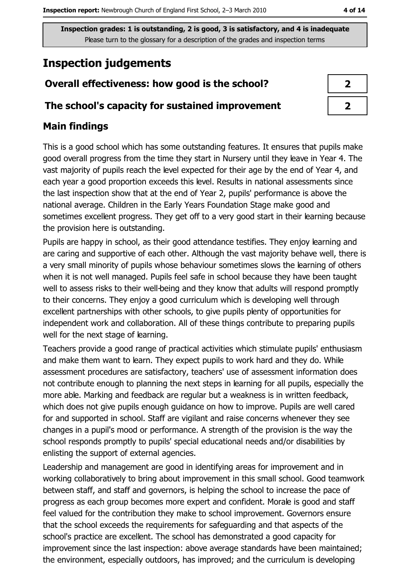## **Inspection judgements**

#### Overall effectiveness: how good is the school?

#### The school's capacity for sustained improvement

#### **Main findings**

This is a good school which has some outstanding features. It ensures that pupils make good overall progress from the time they start in Nursery until they leave in Year 4. The vast majority of pupils reach the level expected for their age by the end of Year 4, and each year a good proportion exceeds this level. Results in national assessments since the last inspection show that at the end of Year 2, pupils' performance is above the national average. Children in the Early Years Foundation Stage make good and sometimes excellent progress. They get off to a very good start in their learning because the provision here is outstanding.

Pupils are happy in school, as their good attendance testifies. They enjoy learning and are caring and supportive of each other. Although the vast majority behave well, there is a very small minority of pupils whose behaviour sometimes slows the learning of others when it is not well managed. Pupils feel safe in school because they have been taught well to assess risks to their well-being and they know that adults will respond promptly to their concerns. They enjoy a good curriculum which is developing well through excellent partnerships with other schools, to give pupils plenty of opportunities for independent work and collaboration. All of these things contribute to preparing pupils well for the next stage of learning.

Teachers provide a good range of practical activities which stimulate pupils' enthusiasm and make them want to learn. They expect pupils to work hard and they do. While assessment procedures are satisfactory, teachers' use of assessment information does not contribute enough to planning the next steps in learning for all pupils, especially the more able. Marking and feedback are regular but a weakness is in written feedback, which does not give pupils enough guidance on how to improve. Pupils are well cared for and supported in school. Staff are vigilant and raise concerns whenever they see changes in a pupil's mood or performance. A strength of the provision is the way the school responds promptly to pupils' special educational needs and/or disabilities by enlisting the support of external agencies.

Leadership and management are good in identifying areas for improvement and in working collaboratively to bring about improvement in this small school. Good teamwork between staff, and staff and governors, is helping the school to increase the pace of progress as each group becomes more expert and confident. Morale is good and staff feel valued for the contribution they make to school improvement. Governors ensure that the school exceeds the requirements for safeguarding and that aspects of the school's practice are excellent. The school has demonstrated a good capacity for improvement since the last inspection: above average standards have been maintained; the environment, especially outdoors, has improved; and the curriculum is developing

| 7  |  |
|----|--|
| ν. |  |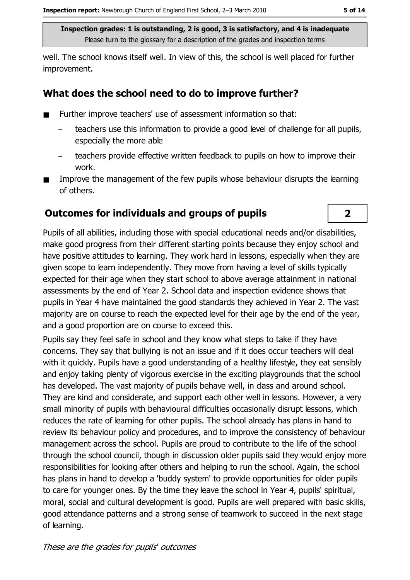well. The school knows itself well. In view of this, the school is well placed for further improvement.

#### What does the school need to do to improve further?

- Further improve teachers' use of assessment information so that:  $\blacksquare$ 
	- teachers use this information to provide a good level of challenge for all pupils, especially the more able
	- teachers provide effective written feedback to pupils on how to improve their work.
- Improve the management of the few pupils whose behaviour disrupts the learning of others.

#### **Outcomes for individuals and groups of pupils**

Pupils of all abilities, induding those with special educational needs and/or disabilities, make good progress from their different starting points because they enjoy school and have positive attitudes to learning. They work hard in lessons, especially when they are given scope to learn independently. They move from having a level of skills typically expected for their age when they start school to above average attainment in national assessments by the end of Year 2. School data and inspection evidence shows that pupils in Year 4 have maintained the good standards they achieved in Year 2. The vast majority are on course to reach the expected level for their age by the end of the year, and a good proportion are on course to exceed this.

Pupils say they feel safe in school and they know what steps to take if they have concerns. They say that bullying is not an issue and if it does occur teachers will deal with it quickly. Pupils have a good understanding of a healthy lifestyle, they eat sensibly and enjoy taking plenty of vigorous exercise in the exciting playgrounds that the school has developed. The vast majority of pupils behave well, in dass and around school. They are kind and considerate, and support each other well in lessons. However, a very small minority of pupils with behavioural difficulties occasionally disrupt lessons, which reduces the rate of learning for other pupils. The school already has plans in hand to review its behaviour policy and procedures, and to improve the consistency of behaviour management across the school. Pupils are proud to contribute to the life of the school through the school council, though in discussion older pupils said they would enjoy more responsibilities for looking after others and helping to run the school. Again, the school has plans in hand to develop a 'buddy system' to provide opportunities for older pupils to care for younger ones. By the time they leave the school in Year 4, pupils' spiritual, moral, social and cultural development is good. Pupils are well prepared with basic skills, good attendance patterns and a strong sense of teamwork to succeed in the next stage of learning.

 $\overline{2}$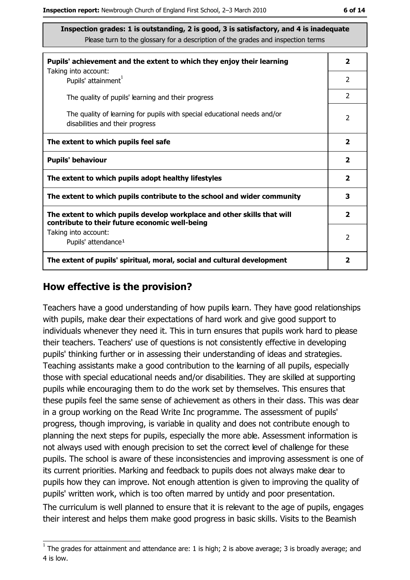| Pupils' achievement and the extent to which they enjoy their learning                                                     |                         |  |  |
|---------------------------------------------------------------------------------------------------------------------------|-------------------------|--|--|
| Taking into account:<br>Pupils' attainment <sup>1</sup>                                                                   | $\overline{2}$          |  |  |
| The quality of pupils' learning and their progress                                                                        | $\mathcal{P}$           |  |  |
| The quality of learning for pupils with special educational needs and/or<br>disabilities and their progress               | $\overline{2}$          |  |  |
| The extent to which pupils feel safe                                                                                      | $\overline{\mathbf{2}}$ |  |  |
| <b>Pupils' behaviour</b>                                                                                                  | $\mathbf{2}$            |  |  |
| The extent to which pupils adopt healthy lifestyles                                                                       | 2                       |  |  |
| The extent to which pupils contribute to the school and wider community                                                   |                         |  |  |
| The extent to which pupils develop workplace and other skills that will<br>contribute to their future economic well-being |                         |  |  |
| Taking into account:<br>Pupils' attendance <sup>1</sup>                                                                   | 2                       |  |  |
| The extent of pupils' spiritual, moral, social and cultural development                                                   | 2                       |  |  |

#### How effective is the provision?

Teachers have a good understanding of how pupils learn. They have good relationships with pupils, make dear their expectations of hard work and give good support to individuals whenever they need it. This in turn ensures that pupils work hard to please their teachers. Teachers' use of questions is not consistently effective in developing pupils' thinking further or in assessing their understanding of ideas and strategies. Teaching assistants make a good contribution to the learning of all pupils, especially those with special educational needs and/or disabilities. They are skilled at supporting pupils while encouraging them to do the work set by themselves. This ensures that these pupils feel the same sense of achievement as others in their dass. This was dear in a group working on the Read Write Inc programme. The assessment of pupils' progress, though improving, is variable in quality and does not contribute enough to planning the next steps for pupils, especially the more able. Assessment information is not always used with enough precision to set the correct level of challenge for these pupils. The school is aware of these inconsistencies and improving assessment is one of its current priorities. Marking and feedback to pupils does not always make dear to pupils how they can improve. Not enough attention is given to improving the quality of pupils' written work, which is too often marred by untidy and poor presentation. The curriculum is well planned to ensure that it is relevant to the age of pupils, engages their interest and helps them make good progress in basic skills. Visits to the Beamish

 $1$  The grades for attainment and attendance are: 1 is high; 2 is above average; 3 is broadly average; and 4 is low.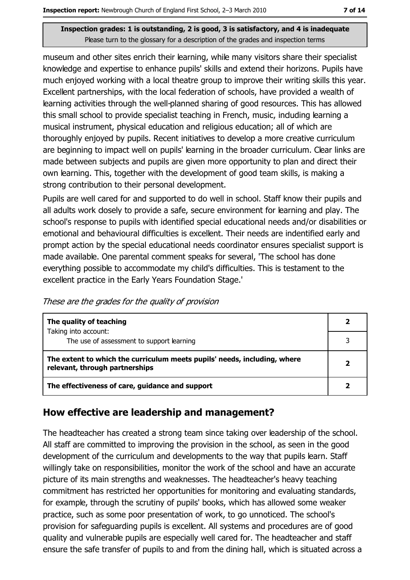museum and other sites enrich their learning, while many visitors share their specialist knowledge and expertise to enhance pupils' skills and extend their horizons. Pupils have much enjoyed working with a local theatre group to improve their writing skills this year. Excellent partnerships, with the local federation of schools, have provided a wealth of learning activities through the well-planned sharing of good resources. This has allowed this small school to provide specialist teaching in French, music, induding learning a musical instrument, physical education and religious education; all of which are thoroughly enjoyed by pupils. Recent initiatives to develop a more creative curriculum are beginning to impact well on pupils' learning in the broader curriculum. Clear links are made between subjects and pupils are given more opportunity to plan and direct their own learning. This, together with the development of good team skills, is making a strong contribution to their personal development.

Pupils are well cared for and supported to do well in school. Staff know their pupils and all adults work dosely to provide a safe, secure environment for learning and play. The school's response to pupils with identified special educational needs and/or disabilities or emotional and behavioural difficulties is excellent. Their needs are indentified early and prompt action by the special educational needs coordinator ensures specialist support is made available. One parental comment speaks for several, 'The school has done everything possible to accommodate my child's difficulties. This is testament to the excellent practice in the Early Years Foundation Stage.'

|  |  | These are the grades for the quality of provision |
|--|--|---------------------------------------------------|
|  |  |                                                   |

| The quality of teaching                                                                                    |  |
|------------------------------------------------------------------------------------------------------------|--|
| Taking into account:<br>The use of assessment to support learning                                          |  |
| The extent to which the curriculum meets pupils' needs, including, where<br>relevant, through partnerships |  |
| The effectiveness of care, guidance and support                                                            |  |

#### How effective are leadership and management?

The headteacher has created a strong team since taking over leadership of the school. All staff are committed to improving the provision in the school, as seen in the good development of the curriculum and developments to the way that pupils learn. Staff willingly take on responsibilities, monitor the work of the school and have an accurate picture of its main strengths and weaknesses. The headteacher's heavy teaching commitment has restricted her opportunities for monitoring and evaluating standards, for example, through the scrutiny of pupils' books, which has allowed some weaker practice, such as some poor presentation of work, to go unnoticed. The school's provision for safeguarding pupils is excellent. All systems and procedures are of good quality and vulnerable pupils are especially well cared for. The headteacher and staff ensure the safe transfer of pupils to and from the dining hall, which is situated across a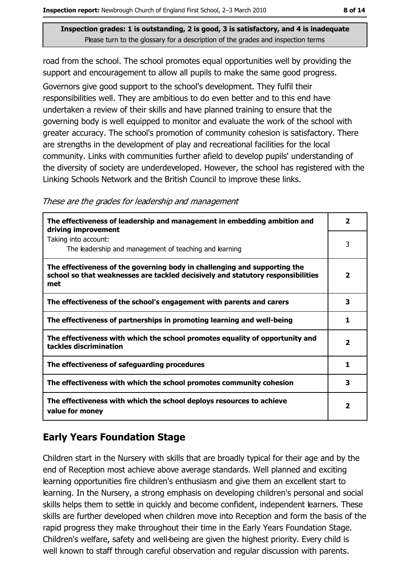road from the school. The school promotes equal opportunities well by providing the support and encouragement to allow all pupils to make the same good progress. Governors give good support to the school's development. They fulfil their responsibilities well. They are ambitious to do even better and to this end have undertaken a review of their skills and have planned training to ensure that the governing body is well equipped to monitor and evaluate the work of the school with greater accuracy. The school's promotion of community cohesion is satisfactory. There are strengths in the development of play and recreational facilities for the local community. Links with communities further afield to develop pupils' understanding of the diversity of society are underdeveloped. However, the school has registered with the Linking Schools Network and the British Council to improve these links.

|  |  | These are the grades for leadership and management |  |  |
|--|--|----------------------------------------------------|--|--|
|  |  |                                                    |  |  |
|  |  |                                                    |  |  |
|  |  |                                                    |  |  |

| The effectiveness of leadership and management in embedding ambition and<br>driving improvement                                                                     | 2            |
|---------------------------------------------------------------------------------------------------------------------------------------------------------------------|--------------|
| Taking into account:<br>The leadership and management of teaching and learning                                                                                      | 3            |
| The effectiveness of the governing body in challenging and supporting the<br>school so that weaknesses are tackled decisively and statutory responsibilities<br>met | 2            |
| The effectiveness of the school's engagement with parents and carers                                                                                                | 3            |
| The effectiveness of partnerships in promoting learning and well-being                                                                                              | 1            |
| The effectiveness with which the school promotes equality of opportunity and<br>tackles discrimination                                                              | $\mathbf{z}$ |
| The effectiveness of safeguarding procedures                                                                                                                        | 1            |
| The effectiveness with which the school promotes community cohesion                                                                                                 | 3            |
| The effectiveness with which the school deploys resources to achieve<br>value for money                                                                             | 2            |

## **Early Years Foundation Stage**

Children start in the Nursery with skills that are broadly typical for their age and by the end of Reception most achieve above average standards. Well planned and exciting learning opportunities fire children's enthusiasm and give them an excellent start to learning. In the Nursery, a strong emphasis on developing children's personal and social skills helps them to settle in quickly and become confident, independent learners. These skills are further developed when children move into Reception and form the basis of the rapid progress they make throughout their time in the Early Years Foundation Stage. Children's welfare, safety and well-being are given the highest priority. Every child is well known to staff through careful observation and regular discussion with parents.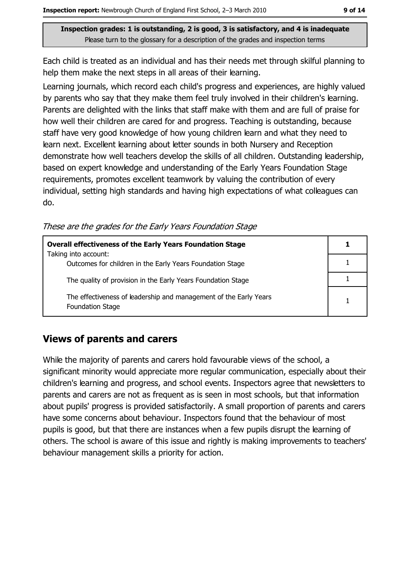Each child is treated as an individual and has their needs met through skilful planning to help them make the next steps in all areas of their learning.

Learning journals, which record each child's progress and experiences, are highly valued by parents who say that they make them feel truly involved in their children's learning. Parents are delighted with the links that staff make with them and are full of praise for how well their children are cared for and progress. Teaching is outstanding, because staff have very good knowledge of how young children learn and what they need to learn next. Excellent learning about letter sounds in both Nursery and Reception demonstrate how well teachers develop the skills of all children. Outstanding leadership, based on expert knowledge and understanding of the Early Years Foundation Stage requirements, promotes excellent teamwork by valuing the contribution of every individual, setting high standards and having high expectations of what colleagues can do.

These are the grades for the Early Years Foundation Stage

| <b>Overall effectiveness of the Early Years Foundation Stage</b>                             |  |
|----------------------------------------------------------------------------------------------|--|
| Taking into account:<br>Outcomes for children in the Early Years Foundation Stage            |  |
| The quality of provision in the Early Years Foundation Stage                                 |  |
| The effectiveness of leadership and management of the Early Years<br><b>Foundation Stage</b> |  |

## **Views of parents and carers**

While the majority of parents and carers hold favourable views of the school, a significant minority would appreciate more regular communication, especially about their children's learning and progress, and school events. Inspectors agree that newsletters to parents and carers are not as frequent as is seen in most schools, but that information about pupils' progress is provided satisfactorily. A small proportion of parents and carers have some concerns about behaviour. Inspectors found that the behaviour of most pupils is good, but that there are instances when a few pupils disrupt the learning of others. The school is aware of this issue and rightly is making improvements to teachers' behaviour management skills a priority for action.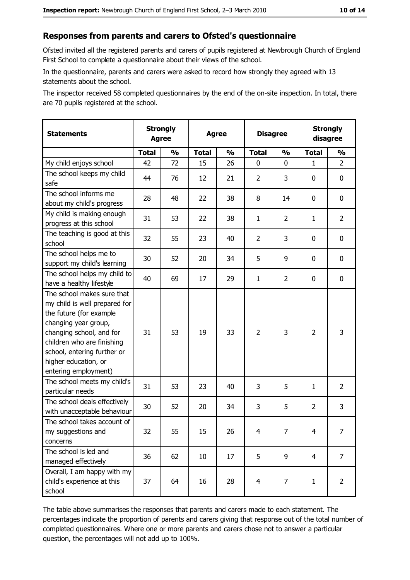## Responses from parents and carers to Ofsted's questionnaire

Ofsted invited all the registered parents and carers of pupils registered at Newbrough Church of England First School to complete a questionnaire about their views of the school.

In the questionnaire, parents and carers were asked to record how strongly they agreed with 13 statements about the school.

The inspector received 58 completed questionnaires by the end of the on-site inspection. In total, there are 70 pupils registered at the school.

| <b>Statements</b>                                                                                                                                                                                                                                       | <b>Strongly</b><br><b>Agree</b> |               | <b>Agree</b> |               | <b>Disagree</b> |                | <b>Strongly</b><br>disagree |                |
|---------------------------------------------------------------------------------------------------------------------------------------------------------------------------------------------------------------------------------------------------------|---------------------------------|---------------|--------------|---------------|-----------------|----------------|-----------------------------|----------------|
|                                                                                                                                                                                                                                                         | <b>Total</b>                    | $\frac{1}{2}$ | <b>Total</b> | $\frac{0}{0}$ | <b>Total</b>    | $\frac{0}{0}$  | <b>Total</b>                | $\frac{1}{2}$  |
| My child enjoys school                                                                                                                                                                                                                                  | 42                              | 72            | 15           | 26            | 0               | 0              | 1                           | $\overline{2}$ |
| The school keeps my child<br>safe                                                                                                                                                                                                                       | 44                              | 76            | 12           | 21            | $\overline{2}$  | 3              | 0                           | $\mathbf 0$    |
| The school informs me<br>about my child's progress                                                                                                                                                                                                      | 28                              | 48            | 22           | 38            | 8               | 14             | 0                           | $\mathbf 0$    |
| My child is making enough<br>progress at this school                                                                                                                                                                                                    | 31                              | 53            | 22           | 38            | $\mathbf{1}$    | $\overline{2}$ | 1                           | $\overline{2}$ |
| The teaching is good at this<br>school                                                                                                                                                                                                                  | 32                              | 55            | 23           | 40            | $\overline{2}$  | 3              | $\mathbf 0$                 | 0              |
| The school helps me to<br>support my child's learning                                                                                                                                                                                                   | 30                              | 52            | 20           | 34            | 5               | 9              | 0                           | $\bf{0}$       |
| The school helps my child to<br>have a healthy lifestyle                                                                                                                                                                                                | 40                              | 69            | 17           | 29            | $\mathbf{1}$    | $\overline{2}$ | 0                           | 0              |
| The school makes sure that<br>my child is well prepared for<br>the future (for example<br>changing year group,<br>changing school, and for<br>children who are finishing<br>school, entering further or<br>higher education, or<br>entering employment) | 31                              | 53            | 19           | 33            | $\overline{2}$  | 3              | $\overline{2}$              | 3              |
| The school meets my child's<br>particular needs                                                                                                                                                                                                         | 31                              | 53            | 23           | 40            | 3               | 5              | 1                           | $\overline{2}$ |
| The school deals effectively<br>with unacceptable behaviour                                                                                                                                                                                             | 30                              | 52            | 20           | 34            | 3               | 5              | $\overline{2}$              | 3              |
| The school takes account of<br>my suggestions and<br>concerns                                                                                                                                                                                           | 32                              | 55            | 15           | 26            | 4               | 7              | $\overline{4}$              | 7              |
| The school is led and<br>managed effectively                                                                                                                                                                                                            | 36                              | 62            | 10           | 17            | 5               | 9              | $\overline{4}$              | $\overline{7}$ |
| Overall, I am happy with my<br>child's experience at this<br>school                                                                                                                                                                                     | 37                              | 64            | 16           | 28            | 4               | 7              | $\mathbf{1}$                | $\overline{2}$ |

The table above summarises the responses that parents and carers made to each statement. The percentages indicate the proportion of parents and carers giving that response out of the total number of completed questionnaires. Where one or more parents and carers chose not to answer a particular question, the percentages will not add up to 100%.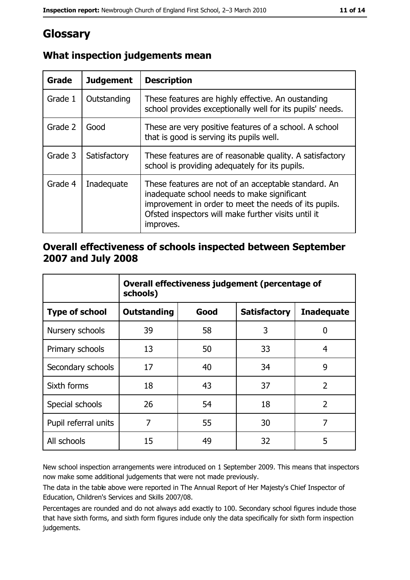# Glossary

| <b>Grade</b> | <b>Judgement</b> | <b>Description</b>                                                                                                                                                                                                               |
|--------------|------------------|----------------------------------------------------------------------------------------------------------------------------------------------------------------------------------------------------------------------------------|
| Grade 1      | Outstanding      | These features are highly effective. An oustanding<br>school provides exceptionally well for its pupils' needs.                                                                                                                  |
| Grade 2      | Good             | These are very positive features of a school. A school<br>that is good is serving its pupils well.                                                                                                                               |
| Grade 3      | Satisfactory     | These features are of reasonable quality. A satisfactory<br>school is providing adequately for its pupils.                                                                                                                       |
| Grade 4      | Inadequate       | These features are not of an acceptable standard. An<br>inadequate school needs to make significant<br>improvement in order to meet the needs of its pupils.<br>Ofsted inspectors will make further visits until it<br>improves. |

## What inspection judgements mean

#### Overall effectiveness of schools inspected between September 2007 and July 2008

|                       | Overall effectiveness judgement (percentage of<br>schools) |      |                     |                   |
|-----------------------|------------------------------------------------------------|------|---------------------|-------------------|
| <b>Type of school</b> | <b>Outstanding</b>                                         | Good | <b>Satisfactory</b> | <b>Inadequate</b> |
| Nursery schools       | 39                                                         | 58   | 3                   | 0                 |
| Primary schools       | 13                                                         | 50   | 33                  | 4                 |
| Secondary schools     | 17                                                         | 40   | 34                  | 9                 |
| Sixth forms           | 18                                                         | 43   | 37                  | $\overline{2}$    |
| Special schools       | 26                                                         | 54   | 18                  | $\overline{2}$    |
| Pupil referral units  | 7                                                          | 55   | 30                  | 7                 |
| All schools           | 15                                                         | 49   | 32                  | 5                 |

New school inspection arrangements were introduced on 1 September 2009. This means that inspectors now make some additional judgements that were not made previously.

The data in the table above were reported in The Annual Report of Her Majesty's Chief Inspector of Education, Children's Services and Skills 2007/08.

Percentages are rounded and do not always add exactly to 100. Secondary school figures indude those that have sixth forms, and sixth form figures indude only the data specifically for sixth form inspection judgements.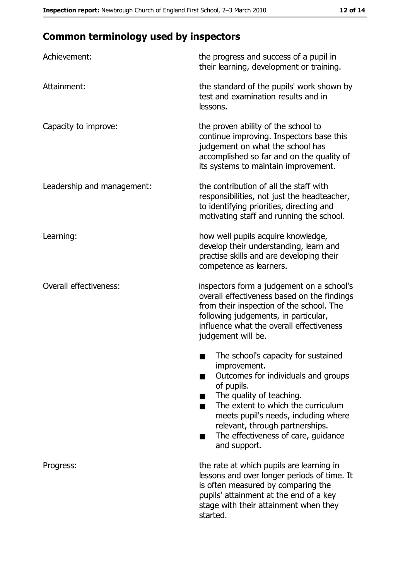# **Common terminology used by inspectors**

| Achievement:                  | the progress and success of a pupil in<br>their learning, development or training.                                                                                                                                                                                                                          |  |  |
|-------------------------------|-------------------------------------------------------------------------------------------------------------------------------------------------------------------------------------------------------------------------------------------------------------------------------------------------------------|--|--|
| Attainment:                   | the standard of the pupils' work shown by<br>test and examination results and in<br>lessons.                                                                                                                                                                                                                |  |  |
| Capacity to improve:          | the proven ability of the school to<br>continue improving. Inspectors base this<br>judgement on what the school has<br>accomplished so far and on the quality of<br>its systems to maintain improvement.                                                                                                    |  |  |
| Leadership and management:    | the contribution of all the staff with<br>responsibilities, not just the headteacher,<br>to identifying priorities, directing and<br>motivating staff and running the school.                                                                                                                               |  |  |
| Learning:                     | how well pupils acquire knowledge,<br>develop their understanding, learn and<br>practise skills and are developing their<br>competence as learners.                                                                                                                                                         |  |  |
| <b>Overall effectiveness:</b> | inspectors form a judgement on a school's<br>overall effectiveness based on the findings<br>from their inspection of the school. The<br>following judgements, in particular,<br>influence what the overall effectiveness<br>judgement will be.                                                              |  |  |
|                               | The school's capacity for sustained<br>improvement.<br>Outcomes for individuals and groups<br>of pupils.<br>The quality of teaching.<br>The extent to which the curriculum<br>meets pupil's needs, induding where<br>relevant, through partnerships.<br>The effectiveness of care, guidance<br>and support. |  |  |
| Progress:                     | the rate at which pupils are learning in<br>lessons and over longer periods of time. It<br>is often measured by comparing the<br>pupils' attainment at the end of a key<br>stage with their attainment when they<br>started.                                                                                |  |  |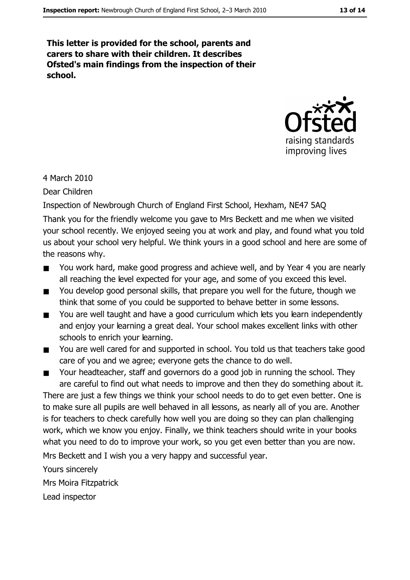This letter is provided for the school, parents and carers to share with their children. It describes Ofsted's main findings from the inspection of their school.



4 March 2010

Dear Children

Inspection of Newbrough Church of England First School, Hexham, NE47 5AQ

Thank you for the friendly welcome you gave to Mrs Beckett and me when we visited your school recently. We enjoyed seeing you at work and play, and found what you told us about your school very helpful. We think yours in a good school and here are some of the reasons why.

- You work hard, make good progress and achieve well, and by Year 4 you are nearly  $\blacksquare$ all reaching the level expected for your age, and some of you exceed this level.
- You develop good personal skills, that prepare you well for the future, though we  $\blacksquare$ think that some of you could be supported to behave better in some lessons.
- You are well taught and have a good curriculum which lets you learn independently  $\blacksquare$ and enjoy your learning a great deal. Your school makes excellent links with other schools to enrich your learning.
- You are well cared for and supported in school. You told us that teachers take good  $\blacksquare$ care of you and we agree; everyone gets the chance to do well.
- Your headteacher, staff and governors do a good job in running the school. They  $\blacksquare$ are careful to find out what needs to improve and then they do something about it.

There are just a few things we think your school needs to do to get even better. One is to make sure all pupils are well behaved in all lessons, as nearly all of you are. Another is for teachers to check carefully how well you are doing so they can plan challenging work, which we know you enjoy. Finally, we think teachers should write in your books what you need to do to improve your work, so you get even better than you are now.

Mrs Beckett and I wish you a very happy and successful year.

Yours sincerely Mrs Moira Fitzpatrick

Lead inspector